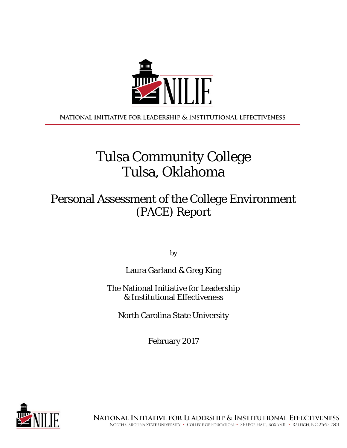

NATIONAL INITIATIVE FOR LEADERSHIP & INSTITUTIONAL EFFECTIVENESS

# Tulsa Community College Tulsa, Oklahoma

# Personal Assessment of the College Environment (PACE) Report

by

### Laura Garland & Greg King

### The National Initiative for Leadership & Institutional Effectiveness

North Carolina State University

February 2017

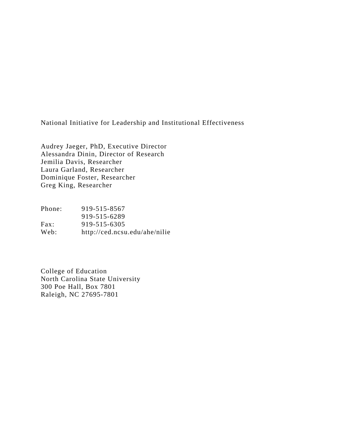National Initiative for Leadership and Institutional Effectiveness

Audrey Jaeger, PhD, Executive Director Alessandra Dinin, Director of Research Jemilia Davis, Researcher Laura Garland, Researcher Dominique Foster, Researcher Greg King, Researcher

Phone: 919-515-8567 919-515-6289 Fax: 919-515-6305 Web: http://ced.ncsu.edu/ahe/nilie

College of Education North Carolina State University 300 Poe Hall, Box 7801 Raleigh, NC 27695-7801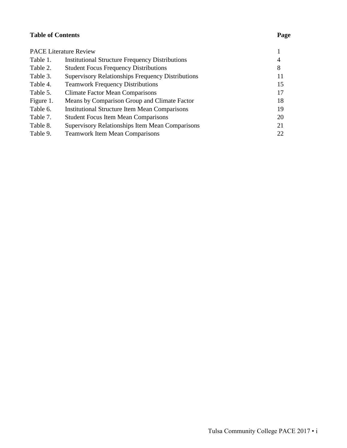### **Table of Contents**

|           | <b>PACE Literature Review</b>                            |    |
|-----------|----------------------------------------------------------|----|
| Table 1.  | <b>Institutional Structure Frequency Distributions</b>   | 4  |
| Table 2.  | <b>Student Focus Frequency Distributions</b>             | 8  |
| Table 3.  | <b>Supervisory Relationships Frequency Distributions</b> | 11 |
| Table 4.  | <b>Teamwork Frequency Distributions</b>                  | 15 |
| Table 5.  | <b>Climate Factor Mean Comparisons</b>                   | 17 |
| Figure 1. | Means by Comparison Group and Climate Factor             | 18 |
| Table 6.  | <b>Institutional Structure Item Mean Comparisons</b>     | 19 |
| Table 7.  | <b>Student Focus Item Mean Comparisons</b>               | 20 |
| Table 8.  | Supervisory Relationships Item Mean Comparisons          | 21 |
| Table 9.  | <b>Teamwork Item Mean Comparisons</b>                    | 22 |
|           |                                                          |    |

### **Page**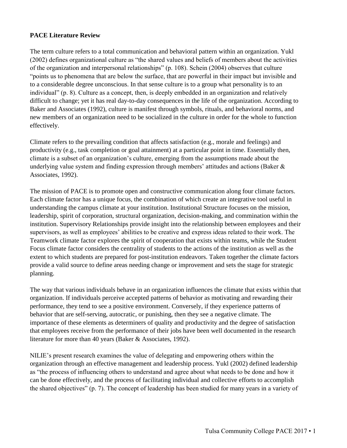### **PACE Literature Review**

The term culture refers to a total communication and behavioral pattern within an organization. Yukl (2002) defines organizational culture as "the shared values and beliefs of members about the activities of the organization and interpersonal relationships" (p. 108). Schein (2004) observes that culture "points us to phenomena that are below the surface, that are powerful in their impact but invisible and to a considerable degree unconscious. In that sense culture is to a group what personality is to an individual" (p. 8). Culture as a concept, then, is deeply embedded in an organization and relatively difficult to change; yet it has real day-to-day consequences in the life of the organization. According to Baker and Associates (1992), culture is manifest through symbols, rituals, and behavioral norms, and new members of an organization need to be socialized in the culture in order for the whole to function effectively.

Climate refers to the prevailing condition that affects satisfaction (e.g., morale and feelings) and productivity (e.g., task completion or goal attainment) at a particular point in time. Essentially then, climate is a subset of an organization's culture, emerging from the assumptions made about the underlying value system and finding expression through members' attitudes and actions (Baker  $\&$ Associates, 1992).

The mission of PACE is to promote open and constructive communication along four climate factors. Each climate factor has a unique focus, the combination of which create an integrative tool useful in understanding the campus climate at your institution. Institutional Structure focuses on the mission, leadership, spirit of corporation, structural organization, decision-making, and commination within the institution. Supervisory Relationships provide insight into the relationship between employees and their supervisors, as well as employees' abilities to be creative and express ideas related to their work. The Teamwork climate factor explores the spirit of cooperation that exists within teams, while the Student Focus climate factor considers the centrality of students to the actions of the institution as well as the extent to which students are prepared for post-institution endeavors. Taken together the climate factors provide a valid source to define areas needing change or improvement and sets the stage for strategic planning.

The way that various individuals behave in an organization influences the climate that exists within that organization. If individuals perceive accepted patterns of behavior as motivating and rewarding their performance, they tend to see a positive environment. Conversely, if they experience patterns of behavior that are self-serving, autocratic, or punishing, then they see a negative climate. The importance of these elements as determiners of quality and productivity and the degree of satisfaction that employees receive from the performance of their jobs have been well documented in the research literature for more than 40 years (Baker & Associates, 1992).

NILIE's present research examines the value of delegating and empowering others within the organization through an effective management and leadership process. Yukl (2002) defined leadership as "the process of influencing others to understand and agree about what needs to be done and how it can be done effectively, and the process of facilitating individual and collective efforts to accomplish the shared objectives" (p. 7). The concept of leadership has been studied for many years in a variety of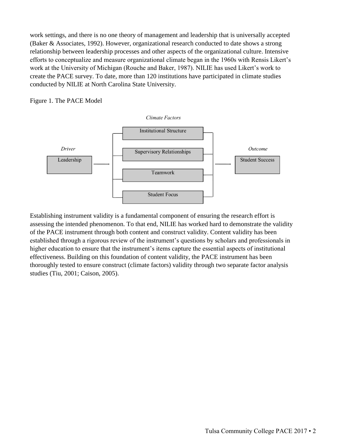work settings, and there is no one theory of management and leadership that is universally accepted (Baker & Associates, 1992). However, organizational research conducted to date shows a strong relationship between leadership processes and other aspects of the organizational culture. Intensive efforts to conceptualize and measure organizational climate began in the 1960s with Rensis Likert's work at the University of Michigan (Rouche and Baker, 1987). NILIE has used Likert's work to create the PACE survey. To date, more than 120 institutions have participated in climate studies conducted by NILIE at North Carolina State University.

### Figure 1. The PACE Model





Establishing instrument validity is a fundamental component of ensuring the research effort is assessing the intended phenomenon. To that end, NILIE has worked hard to demonstrate the validity of the PACE instrument through both content and construct validity. Content validity has been established through a rigorous review of the instrument's questions by scholars and professionals in higher education to ensure that the instrument's items capture the essential aspects of institutional effectiveness. Building on this foundation of content validity, the PACE instrument has been thoroughly tested to ensure construct (climate factors) validity through two separate factor analysis studies (Tiu, 2001; Caison, 2005).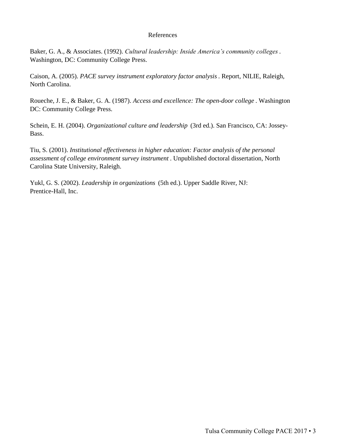#### References

Baker, G. A., & Associates. (1992). *Cultural leadership: Inside America's community colleges* . Washington, DC: Community College Press.

Caison, A. (2005). *PACE survey instrument exploratory factor analysis* . Report, NILIE, Raleigh, North Carolina.

Roueche, J. E., & Baker, G. A. (1987). *Access and excellence: The open-door college* . Washington DC: Community College Press.

Schein, E. H. (2004). *Organizational culture and leadership* (3rd ed.). San Francisco, CA: Jossey-Bass.

Tiu, S. (2001). *Institutional effectiveness in higher education: Factor analysis of the personal assessment of college environment survey instrument* . Unpublished doctoral dissertation, North Carolina State University, Raleigh.

Yukl, G. S. (2002). *Leadership in organizations* (5th ed.). Upper Saddle River, NJ: Prentice-Hall, Inc.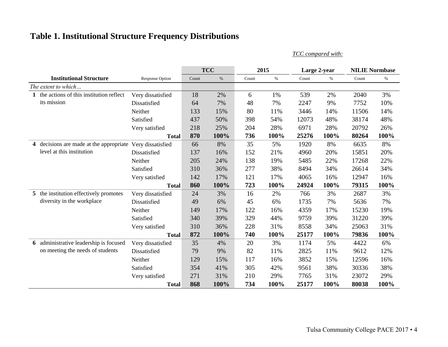# **Table 1. Institutional Structure Frequency Distributions**

*TCC compared with:*

|                |                                               |                        |       | <b>TCC</b> |       | 2015 | Large 2-year |      | <b>NILIE Normbase</b> |      |
|----------------|-----------------------------------------------|------------------------|-------|------------|-------|------|--------------|------|-----------------------|------|
|                | <b>Institutional Structure</b>                | <b>Response Option</b> | Count | $\%$       | Count | $\%$ | Count        | $\%$ | Count                 | $\%$ |
|                | The extent to which                           |                        |       |            |       |      |              |      |                       |      |
| 1              | the actions of this institution reflect       | Very dissatisfied      | 18    | 2%         | 6     | 1%   | 539          | 2%   | 2040                  | 3%   |
|                | its mission                                   | Dissatisfied           | 64    | 7%         | 48    | 7%   | 2247         | 9%   | 7752                  | 10%  |
|                |                                               | Neither                | 133   | 15%        | 80    | 11%  | 3446         | 14%  | 11506                 | 14%  |
|                |                                               | Satisfied              | 437   | 50%        | 398   | 54%  | 12073        | 48%  | 38174                 | 48%  |
|                |                                               | Very satisfied         | 218   | 25%        | 204   | 28%  | 6971         | 28%  | 20792                 | 26%  |
|                |                                               | <b>Total</b>           | 870   | 100%       | 736   | 100% | 25276        | 100% | 80264                 | 100% |
| $\overline{4}$ | decisions are made at the appropriate         | Very dissatisfied      | 66    | 8%         | 35    | 5%   | 1920         | 8%   | 6635                  | 8%   |
|                | level at this institution                     | Dissatisfied           | 137   | 16%        | 152   | 21%  | 4960         | 20%  | 15851                 | 20%  |
|                |                                               | Neither                | 205   | 24%        | 138   | 19%  | 5485         | 22%  | 17268                 | 22%  |
|                |                                               | Satisfied              | 310   | 36%        | 277   | 38%  | 8494         | 34%  | 26614                 | 34%  |
|                |                                               | Very satisfied         | 142   | 17%        | 121   | 17%  | 4065         | 16%  | 12947                 | 16%  |
|                |                                               | <b>Total</b>           | 860   | 100%       | 723   | 100% | 24924        | 100% | 79315                 | 100% |
| 5 <sup>5</sup> | the institution effectively promotes          | Very dissatisfied      | 24    | 3%         | 16    | 2%   | 766          | 3%   | 2687                  | 3%   |
|                | diversity in the workplace                    | Dissatisfied           | 49    | 6%         | 45    | 6%   | 1735         | 7%   | 5636                  | 7%   |
|                |                                               | Neither                | 149   | 17%        | 122   | 16%  | 4359         | 17%  | 15230                 | 19%  |
|                |                                               | Satisfied              | 340   | 39%        | 329   | 44%  | 9759         | 39%  | 31220                 | 39%  |
|                |                                               | Very satisfied         | 310   | 36%        | 228   | 31%  | 8558         | 34%  | 25063                 | 31%  |
|                |                                               | <b>Total</b>           | 872   | 100%       | 740   | 100% | 25177        | 100% | 79836                 | 100% |
|                | <b>6</b> administrative leadership is focused | Very dissatisfied      | 35    | 4%         | 20    | 3%   | 1174         | 5%   | 4422                  | 6%   |
|                | on meeting the needs of students              | Dissatisfied           | 79    | 9%         | 82    | 11%  | 2825         | 11%  | 9612                  | 12%  |
|                |                                               | Neither                | 129   | 15%        | 117   | 16%  | 3852         | 15%  | 12596                 | 16%  |
|                |                                               | Satisfied              | 354   | 41%        | 305   | 42%  | 9561         | 38%  | 30336                 | 38%  |
|                |                                               | Very satisfied         | 271   | 31%        | 210   | 29%  | 7765         | 31%  | 23072                 | 29%  |
|                |                                               | <b>Total</b>           | 868   | 100%       | 734   | 100% | 25177        | 100% | 80038                 | 100% |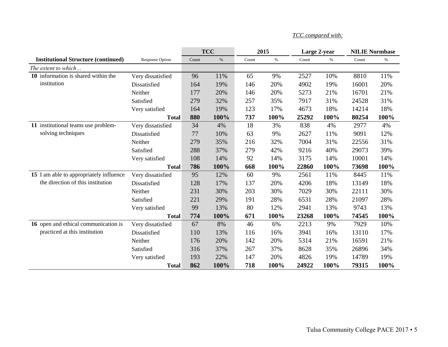|                                            |                   |       | <b>TCC</b> |       | 2015 | Large 2-year |      | <b>NILIE Normbase</b> |      |
|--------------------------------------------|-------------------|-------|------------|-------|------|--------------|------|-----------------------|------|
| <b>Institutional Structure (continued)</b> | Response Option   | Count | $\%$       | Count | $\%$ | Count        | $\%$ | Count                 | $\%$ |
| The extent to which                        |                   |       |            |       |      |              |      |                       |      |
| 10 information is shared within the        | Very dissatisfied | 96    | 11%        | 65    | 9%   | 2527         | 10%  | 8810                  | 11%  |
| institution                                | Dissatisfied      | 164   | 19%        | 146   | 20%  | 4902         | 19%  | 16001                 | 20%  |
|                                            | Neither           | 177   | 20%        | 146   | 20%  | 5273         | 21%  | 16701                 | 21%  |
|                                            | Satisfied         | 279   | 32%        | 257   | 35%  | 7917         | 31%  | 24528                 | 31%  |
|                                            | Very satisfied    | 164   | 19%        | 123   | 17%  | 4673         | 18%  | 14214                 | 18%  |
|                                            | <b>Total</b>      | 880   | 100%       | 737   | 100% | 25292        | 100% | 80254                 | 100% |
| 11 institutional teams use problem-        | Very dissatisfied | 34    | 4%         | 18    | 3%   | 838          | 4%   | 2977                  | 4%   |
| solving techniques                         | Dissatisfied      | 77    | 10%        | 63    | 9%   | 2627         | 11%  | 9091                  | 12%  |
|                                            | Neither           | 279   | 35%        | 216   | 32%  | 7004         | 31%  | 22556                 | 31%  |
|                                            | Satisfied         | 288   | 37%        | 279   | 42%  | 9216         | 40%  | 29073                 | 39%  |
|                                            | Very satisfied    | 108   | 14%        | 92    | 14%  | 3175         | 14%  | 10001                 | 14%  |
|                                            | <b>Total</b>      | 786   | 100%       | 668   | 100% | 22860        | 100% | 73698                 | 100% |
| 15 I am able to appropriately influence    | Very dissatisfied | 95    | 12%        | 60    | 9%   | 2561         | 11%  | 8445                  | 11%  |
| the direction of this institution          | Dissatisfied      | 128   | 17%        | 137   | 20%  | 4206         | 18%  | 13149                 | 18%  |
|                                            | Neither           | 231   | 30%        | 203   | 30%  | 7029         | 30%  | 22111                 | 30%  |
|                                            | Satisfied         | 221   | 29%        | 191   | 28%  | 6531         | 28%  | 21097                 | 28%  |
|                                            | Very satisfied    | 99    | 13%        | 80    | 12%  | 2941         | 13%  | 9743                  | 13%  |
|                                            | <b>Total</b>      | 774   | 100%       | 671   | 100% | 23268        | 100% | 74545                 | 100% |
| 16 open and ethical communication is       | Very dissatisfied | 67    | 8%         | 46    | 6%   | 2213         | 9%   | 7929                  | 10%  |
| practiced at this institution              | Dissatisfied      | 110   | 13%        | 116   | 16%  | 3941         | 16%  | 13110                 | 17%  |
|                                            | Neither           | 176   | 20%        | 142   | 20%  | 5314         | 21%  | 16591                 | 21%  |
|                                            | Satisfied         | 316   | 37%        | 267   | 37%  | 8628         | 35%  | 26896                 | 34%  |
|                                            | Very satisfied    | 193   | 22%        | 147   | 20%  | 4826         | 19%  | 14789                 | 19%  |
|                                            | <b>Total</b>      | 862   | 100%       | 718   | 100% | 24922        | 100% | 79315                 | 100% |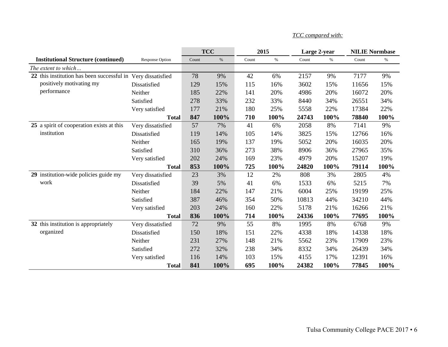|                                                              |                   |       | <b>TCC</b> |       | 2015 | Large 2-year |      | <b>NILIE Normbase</b> |      |
|--------------------------------------------------------------|-------------------|-------|------------|-------|------|--------------|------|-----------------------|------|
| <b>Institutional Structure (continued)</b>                   | Response Option   | Count | $\%$       | Count | $\%$ | Count        | $\%$ | Count                 | $\%$ |
| The extent to which                                          |                   |       |            |       |      |              |      |                       |      |
| 22 this institution has been successful in Very dissatisfied |                   | 78    | 9%         | 42    | 6%   | 2157         | 9%   | 7177                  | 9%   |
| positively motivating my                                     | Dissatisfied      | 129   | 15%        | 115   | 16%  | 3602         | 15%  | 11656                 | 15%  |
| performance                                                  | Neither           | 185   | 22%        | 141   | 20%  | 4986         | 20%  | 16072                 | 20%  |
|                                                              | Satisfied         | 278   | 33%        | 232   | 33%  | 8440         | 34%  | 26551                 | 34%  |
|                                                              | Very satisfied    | 177   | 21%        | 180   | 25%  | 5558         | 22%  | 17384                 | 22%  |
|                                                              | <b>Total</b>      | 847   | 100%       | 710   | 100% | 24743        | 100% | 78840                 | 100% |
| 25 a spirit of cooperation exists at this                    | Very dissatisfied | 57    | 7%         | 41    | 6%   | 2058         | 8%   | 7141                  | 9%   |
| institution                                                  | Dissatisfied      | 119   | 14%        | 105   | 14%  | 3825         | 15%  | 12766                 | 16%  |
|                                                              | Neither           | 165   | 19%        | 137   | 19%  | 5052         | 20%  | 16035                 | 20%  |
|                                                              | Satisfied         | 310   | 36%        | 273   | 38%  | 8906         | 36%  | 27965                 | 35%  |
|                                                              | Very satisfied    | 202   | 24%        | 169   | 23%  | 4979         | 20%  | 15207                 | 19%  |
|                                                              | <b>Total</b>      | 853   | 100%       | 725   | 100% | 24820        | 100% | 79114                 | 100% |
| 29 institution-wide policies guide my                        | Very dissatisfied | 23    | 3%         | 12    | 2%   | 808          | 3%   | 2805                  | 4%   |
| work                                                         | Dissatisfied      | 39    | 5%         | 41    | 6%   | 1533         | 6%   | 5215                  | 7%   |
|                                                              | Neither           | 184   | 22%        | 147   | 21%  | 6004         | 25%  | 19199                 | 25%  |
|                                                              | Satisfied         | 387   | 46%        | 354   | 50%  | 10813        | 44%  | 34210                 | 44%  |
|                                                              | Very satisfied    | 203   | 24%        | 160   | 22%  | 5178         | 21%  | 16266                 | 21%  |
|                                                              | <b>Total</b>      | 836   | 100%       | 714   | 100% | 24336        | 100% | 77695                 | 100% |
| 32 this institution is appropriately                         | Very dissatisfied | 72    | 9%         | 55    | 8%   | 1995         | 8%   | 6768                  | 9%   |
| organized                                                    | Dissatisfied      | 150   | 18%        | 151   | 22%  | 4338         | 18%  | 14338                 | 18%  |
|                                                              | Neither           | 231   | 27%        | 148   | 21%  | 5562         | 23%  | 17909                 | 23%  |
|                                                              | Satisfied         | 272   | 32%        | 238   | 34%  | 8332         | 34%  | 26439                 | 34%  |
|                                                              | Very satisfied    | 116   | 14%        | 103   | 15%  | 4155         | 17%  | 12391                 | 16%  |
|                                                              | <b>Total</b>      | 841   | 100%       | 695   | 100% | 24382        | 100% | 77845                 | 100% |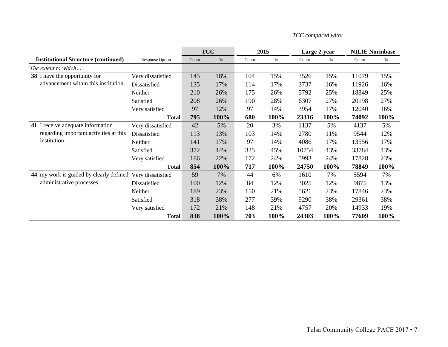|                                                           |                        |       | <b>TCC</b> |       | 2015 |       | Large 2-year |       | <b>NILIE Normbase</b> |
|-----------------------------------------------------------|------------------------|-------|------------|-------|------|-------|--------------|-------|-----------------------|
| <b>Institutional Structure (continued)</b>                | <b>Response Option</b> | Count | $\%$       | Count | $\%$ | Count | $\%$         | Count | $\%$                  |
| The extent to which                                       |                        |       |            |       |      |       |              |       |                       |
| 38 I have the opportunity for                             | Very dissatisfied      | 145   | 18%        | 104   | 15%  | 3526  | 15%          | 11079 | 15%                   |
| advancement within this institution                       | Dissatisfied           | 135   | 17%        | 114   | 17%  | 3737  | 16%          | 11926 | 16%                   |
|                                                           | Neither                | 210   | 26%        | 175   | 26%  | 5792  | 25%          | 18849 | 25%                   |
|                                                           | Satisfied              | 208   | 26%        | 190   | 28%  | 6307  | 27%          | 20198 | 27%                   |
|                                                           | Very satisfied         | 97    | 12%        | 97    | 14%  | 3954  | 17%          | 12040 | 16%                   |
|                                                           | <b>Total</b>           | 795   | 100%       | 680   | 100% | 23316 | 100%         | 74092 | 100%                  |
| 41 I receive adequate information                         | Very dissatisfied      | 42    | 5%         | 20    | 3%   | 1137  | 5%           | 4137  | 5%                    |
| regarding important activities at this                    | Dissatisfied           | 113   | 13%        | 103   | 14%  | 2780  | 11%          | 9544  | 12%                   |
| institution                                               | Neither                | 141   | 17%        | 97    | 14%  | 4086  | 17%          | 13556 | 17%                   |
|                                                           | Satisfied              | 372   | 44%        | 325   | 45%  | 10754 | 43%          | 33784 | 43%                   |
|                                                           | Very satisfied         | 186   | 22%        | 172   | 24%  | 5993  | 24%          | 17828 | 23%                   |
|                                                           | <b>Total</b>           | 854   | 100%       | 717   | 100% | 24750 | 100%         | 78849 | 100%                  |
| 44 my work is guided by clearly defined Very dissatisfied |                        | 59    | 7%         | 44    | 6%   | 1610  | 7%           | 5594  | 7%                    |
| administrative processes                                  | Dissatisfied           | 100   | 12%        | 84    | 12%  | 3025  | 12%          | 9875  | 13%                   |
|                                                           | Neither                | 189   | 23%        | 150   | 21%  | 5621  | 23%          | 17846 | 23%                   |
|                                                           | Satisfied              | 318   | 38%        | 277   | 39%  | 9290  | 38%          | 29361 | 38%                   |
|                                                           | Very satisfied         | 172   | 21%        | 148   | 21%  | 4757  | 20%          | 14933 | 19%                   |
|                                                           | <b>Total</b>           | 838   | 100%       | 703   | 100% | 24303 | 100%         | 77609 | 100%                  |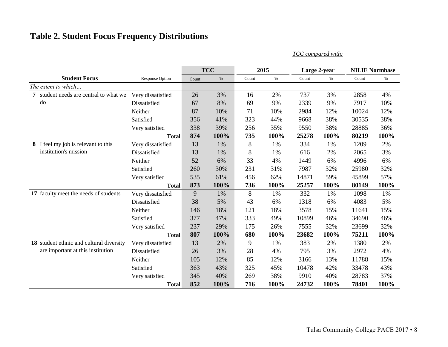## **Table 2. Student Focus Frequency Distributions**

|                                           |                        |       | <b>TCC</b> |       | 2015 | Large 2-year |      |       | <b>NILIE Normbase</b> |
|-------------------------------------------|------------------------|-------|------------|-------|------|--------------|------|-------|-----------------------|
| <b>Student Focus</b>                      | <b>Response Option</b> | Count | $\%$       | Count | $\%$ | Count        | $\%$ | Count | $\%$                  |
| The extent to which                       |                        |       |            |       |      |              |      |       |                       |
| student needs are central to what we<br>7 | Very dissatisfied      | 26    | 3%         | 16    | 2%   | 737          | 3%   | 2858  | 4%                    |
| do                                        | Dissatisfied           | 67    | 8%         | 69    | 9%   | 2339         | 9%   | 7917  | 10%                   |
|                                           | Neither                | 87    | 10%        | 71    | 10%  | 2984         | 12%  | 10024 | 12%                   |
|                                           | Satisfied              | 356   | 41%        | 323   | 44%  | 9668         | 38%  | 30535 | 38%                   |
|                                           | Very satisfied         | 338   | 39%        | 256   | 35%  | 9550         | 38%  | 28885 | 36%                   |
|                                           | <b>Total</b>           | 874   | 100%       | 735   | 100% | 25278        | 100% | 80219 | 100%                  |
| 8 I feel my job is relevant to this       | Very dissatisfied      | 13    | 1%         | 8     | 1%   | 334          | 1%   | 1209  | 2%                    |
| institution's mission                     | Dissatisfied           | 13    | 1%         | 8     | 1%   | 616          | 2%   | 2065  | 3%                    |
|                                           | Neither                | 52    | 6%         | 33    | 4%   | 1449         | 6%   | 4996  | 6%                    |
|                                           | Satisfied              | 260   | 30%        | 231   | 31%  | 7987         | 32%  | 25980 | 32%                   |
|                                           | Very satisfied         | 535   | 61%        | 456   | 62%  | 14871        | 59%  | 45899 | 57%                   |
|                                           | <b>Total</b>           | 873   | 100%       | 736   | 100% | 25257        | 100% | 80149 | 100%                  |
| 17 faculty meet the needs of students     | Very dissatisfied      | 9     | 1%         | 8     | 1%   | 332          | 1%   | 1098  | 1%                    |
|                                           | Dissatisfied           | 38    | 5%         | 43    | 6%   | 1318         | 6%   | 4083  | 5%                    |
|                                           | Neither                | 146   | 18%        | 121   | 18%  | 3578         | 15%  | 11641 | 15%                   |
|                                           | Satisfied              | 377   | 47%        | 333   | 49%  | 10899        | 46%  | 34690 | 46%                   |
|                                           | Very satisfied         | 237   | 29%        | 175   | 26%  | 7555         | 32%  | 23699 | 32%                   |
|                                           | <b>Total</b>           | 807   | 100%       | 680   | 100% | 23682        | 100% | 75211 | 100%                  |
| 18 student ethnic and cultural diversity  | Very dissatisfied      | 13    | 2%         | 9     | 1%   | 383          | 2%   | 1380  | 2%                    |
| are important at this institution         | Dissatisfied           | 26    | 3%         | 28    | 4%   | 795          | 3%   | 2972  | 4%                    |
|                                           | Neither                | 105   | 12%        | 85    | 12%  | 3166         | 13%  | 11788 | 15%                   |
|                                           | Satisfied              | 363   | 43%        | 325   | 45%  | 10478        | 42%  | 33478 | 43%                   |
|                                           | Very satisfied         | 345   | 40%        | 269   | 38%  | 9910         | 40%  | 28783 | 37%                   |
|                                           | <b>Total</b>           | 852   | 100%       | 716   | 100% | 24732        | 100% | 78401 | 100%                  |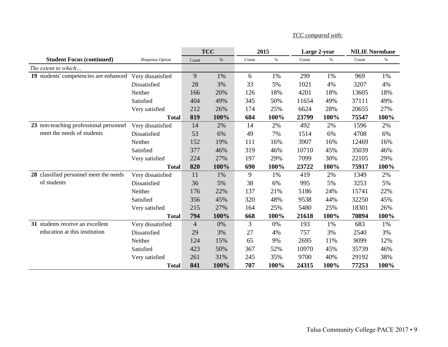|                                        |                        |                | <b>TCC</b> |       | 2015 |       | Large 2-year | <b>NILIE Normbase</b> |      |
|----------------------------------------|------------------------|----------------|------------|-------|------|-------|--------------|-----------------------|------|
| <b>Student Focus (continued)</b>       | <b>Response Option</b> | Count          | $\%$       | Count | $\%$ | Count | $\%$         | Count                 | $\%$ |
| The extent to which                    |                        |                |            |       |      |       |              |                       |      |
| 19 students' competencies are enhanced | Very dissatisfied      | 9              | 1%         | 6     | 1%   | 299   | 1%           | 969                   | 1%   |
|                                        | Dissatisfied           | 28             | 3%         | 33    | 5%   | 1021  | 4%           | 3207                  | 4%   |
|                                        | Neither                | 166            | 20%        | 126   | 18%  | 4201  | 18%          | 13605                 | 18%  |
|                                        | Satisfied              | 404            | 49%        | 345   | 50%  | 11654 | 49%          | 37111                 | 49%  |
|                                        | Very satisfied         | 212            | 26%        | 174   | 25%  | 6624  | 28%          | 20655                 | 27%  |
|                                        | <b>Total</b>           | 819            | 100%       | 684   | 100% | 23799 | 100%         | 75547                 | 100% |
| 23 non-teaching professional personnel | Very dissatisfied      | 14             | 2%         | 14    | 2%   | 492   | 2%           | 1596                  | 2%   |
| meet the needs of students             | Dissatisfied           | 53             | 6%         | 49    | 7%   | 1514  | 6%           | 4708                  | 6%   |
|                                        | Neither                | 152            | 19%        | 111   | 16%  | 3907  | 16%          | 12469                 | 16%  |
|                                        | Satisfied              | 377            | 46%        | 319   | 46%  | 10710 | 45%          | 35039                 | 46%  |
|                                        | Very satisfied         | 224            | 27%        | 197   | 29%  | 7099  | 30%          | 22105                 | 29%  |
|                                        | <b>Total</b>           | 820            | 100%       | 690   | 100% | 23722 | 100%         | 75917                 | 100% |
| 28 classified personnel meet the needs | Very dissatisfied      | 11             | 1%         | 9     | 1%   | 419   | 2%           | 1349                  | 2%   |
| of students                            | Dissatisfied           | 36             | 5%         | 38    | 6%   | 995   | 5%           | 3253                  | 5%   |
|                                        | Neither                | 176            | 22%        | 137   | 21%  | 5186  | 24%          | 15741                 | 22%  |
|                                        | Satisfied              | 356            | 45%        | 320   | 48%  | 9538  | 44%          | 32250                 | 45%  |
|                                        | Very satisfied         | 215            | 27%        | 164   | 25%  | 5480  | 25%          | 18301                 | 26%  |
|                                        | <b>Total</b>           | 794            | 100%       | 668   | 100% | 21618 | 100%         | 70894                 | 100% |
| 31 students receive an excellent       | Very dissatisfied      | $\overline{4}$ | 0%         | 3     | 0%   | 193   | 1%           | 683                   | 1%   |
| education at this institution          | Dissatisfied           | 29             | 3%         | 27    | 4%   | 757   | 3%           | 2540                  | 3%   |
|                                        | Neither                | 124            | 15%        | 65    | 9%   | 2695  | 11%          | 9099                  | 12%  |
|                                        | Satisfied              | 423            | 50%        | 367   | 52%  | 10970 | 45%          | 35739                 | 46%  |
|                                        | Very satisfied         | 261            | 31%        | 245   | 35%  | 9700  | 40%          | 29192                 | 38%  |
|                                        | <b>Total</b>           | 841            | 100%       | 707   | 100% | 24315 | 100%         | 77253                 | 100% |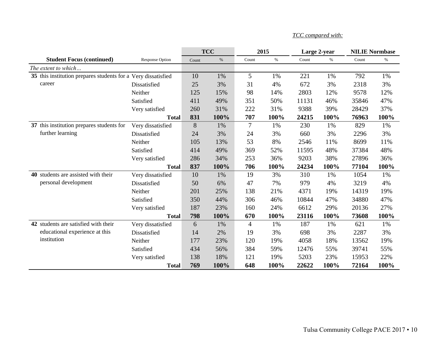|                                                               |                        |       | <b>TCC</b> | 2015           |      | Large 2-year |      | <b>NILIE Normbase</b> |       |
|---------------------------------------------------------------|------------------------|-------|------------|----------------|------|--------------|------|-----------------------|-------|
| <b>Student Focus (continued)</b>                              | <b>Response Option</b> | Count | $\%$       | Count          | $\%$ | Count        | $\%$ | Count                 | $\%$  |
| The extent to which                                           |                        |       |            |                |      |              |      |                       |       |
| 35 this institution prepares students for a Very dissatisfied |                        | 10    | 1%         | 5              | 1%   | 221          | 1%   | 792                   | 1%    |
| career                                                        | Dissatisfied           | 25    | 3%         | 31             | 4%   | 672          | 3%   | 2318                  | 3%    |
|                                                               | Neither                | 125   | 15%        | 98             | 14%  | 2803         | 12%  | 9578                  | 12%   |
|                                                               | Satisfied              | 411   | 49%        | 351            | 50%  | 11131        | 46%  | 35846                 | 47%   |
|                                                               | Very satisfied         | 260   | 31%        | 222            | 31%  | 9388         | 39%  | 28429                 | 37%   |
|                                                               | <b>Total</b>           | 831   | 100%       | 707            | 100% | 24215        | 100% | 76963                 | 100%  |
| 37 this institution prepares students for                     | Very dissatisfied      | 8     | 1%         | 7              | 1%   | 230          | 1%   | 829                   | 1%    |
| further learning                                              | Dissatisfied           | 24    | 3%         | 24             | 3%   | 660          | 3%   | 2296                  | 3%    |
|                                                               | Neither                | 105   | 13%        | 53             | 8%   | 2546         | 11%  | 8699                  | 11%   |
|                                                               | Satisfied              | 414   | 49%        | 369            | 52%  | 11595        | 48%  | 37384                 | 48%   |
|                                                               | Very satisfied         | 286   | 34%        | 253            | 36%  | 9203         | 38%  | 27896                 | 36%   |
|                                                               | <b>Total</b>           | 837   | 100%       | 706            | 100% | 24234        | 100% | 77104                 | 100%  |
| 40 students are assisted with their                           | Very dissatisfied      | 10    | 1%         | 19             | 3%   | 310          | 1%   | 1054                  | $1\%$ |
| personal development                                          | Dissatisfied           | 50    | 6%         | 47             | 7%   | 979          | 4%   | 3219                  | 4%    |
|                                                               | Neither                | 201   | 25%        | 138            | 21%  | 4371         | 19%  | 14319                 | 19%   |
|                                                               | Satisfied              | 350   | 44%        | 306            | 46%  | 10844        | 47%  | 34880                 | 47%   |
|                                                               | Very satisfied         | 187   | 23%        | 160            | 24%  | 6612         | 29%  | 20136                 | 27%   |
|                                                               | <b>Total</b>           | 798   | 100%       | 670            | 100% | 23116        | 100% | 73608                 | 100%  |
| 42 students are satisfied with their                          | Very dissatisfied      | 6     | 1%         | $\overline{4}$ | 1%   | 187          | 1%   | 621                   | 1%    |
| educational experience at this                                | Dissatisfied           | 14    | 2%         | 19             | 3%   | 698          | 3%   | 2287                  | 3%    |
| institution                                                   | Neither                | 177   | 23%        | 120            | 19%  | 4058         | 18%  | 13562                 | 19%   |
|                                                               | Satisfied              | 434   | 56%        | 384            | 59%  | 12476        | 55%  | 39741                 | 55%   |
|                                                               | Very satisfied         | 138   | 18%        | 121            | 19%  | 5203         | 23%  | 15953                 | 22%   |
|                                                               | <b>Total</b>           | 769   | 100%       | 648            | 100% | 22622        | 100% | 72164                 | 100%  |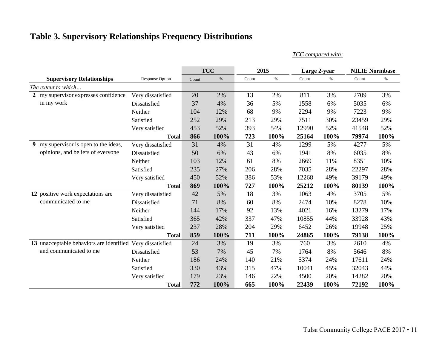## **Table 3. Supervisory Relationships Frequency Distributions**

*TCC compared with:*

|                                          |                        |       | <b>TCC</b> |       | 2015 |       | Large 2-year | <b>NILIE Normbase</b> |      |
|------------------------------------------|------------------------|-------|------------|-------|------|-------|--------------|-----------------------|------|
| <b>Supervisory Relationships</b>         | <b>Response Option</b> | Count | $\%$       | Count | $\%$ | Count | $\%$         | Count                 | $\%$ |
| The extent to which                      |                        |       |            |       |      |       |              |                       |      |
| 2 my supervisor expresses confidence     | Very dissatisfied      | 20    | 2%         | 13    | 2%   | 811   | 3%           | 2709                  | 3%   |
| in my work                               | Dissatisfied           | 37    | 4%         | 36    | 5%   | 1558  | 6%           | 5035                  | 6%   |
|                                          | Neither                | 104   | 12%        | 68    | 9%   | 2294  | 9%           | 7223                  | 9%   |
|                                          | Satisfied              | 252   | 29%        | 213   | 29%  | 7511  | 30%          | 23459                 | 29%  |
|                                          | Very satisfied         | 453   | 52%        | 393   | 54%  | 12990 | 52%          | 41548                 | 52%  |
|                                          | <b>Total</b>           | 866   | 100%       | 723   | 100% | 25164 | 100%         | 79974                 | 100% |
| my supervisor is open to the ideas,<br>9 | Very dissatisfied      | 31    | 4%         | 31    | 4%   | 1299  | 5%           | 4277                  | 5%   |
| opinions, and beliefs of everyone        | Dissatisfied           | 50    | 6%         | 43    | 6%   | 1941  | 8%           | 6035                  | 8%   |
|                                          | Neither                | 103   | 12%        | 61    | 8%   | 2669  | 11%          | 8351                  | 10%  |
|                                          | Satisfied              | 235   | 27%        | 206   | 28%  | 7035  | 28%          | 22297                 | 28%  |
|                                          | Very satisfied         | 450   | 52%        | 386   | 53%  | 12268 | 49%          | 39179                 | 49%  |
|                                          | <b>Total</b>           | 869   | 100%       | 727   | 100% | 25212 | 100%         | 80139                 | 100% |
| 12 positive work expectations are        | Very dissatisfied      | 42    | 5%         | 18    | 3%   | 1063  | 4%           | 3705                  | 5%   |
| communicated to me                       | Dissatisfied           | 71    | 8%         | 60    | 8%   | 2474  | 10%          | 8278                  | 10%  |
|                                          | Neither                | 144   | 17%        | 92    | 13%  | 4021  | 16%          | 13279                 | 17%  |
|                                          | Satisfied              | 365   | 42%        | 337   | 47%  | 10855 | 44%          | 33928                 | 43%  |
|                                          | Very satisfied         | 237   | 28%        | 204   | 29%  | 6452  | 26%          | 19948                 | 25%  |
|                                          | <b>Total</b>           | 859   | 100%       | 711   | 100% | 24865 | 100%         | 79138                 | 100% |
| 13 unacceptable behaviors are identified | Very dissatisfied      | 24    | 3%         | 19    | 3%   | 760   | 3%           | 2610                  | 4%   |
| and communicated to me                   | Dissatisfied           | 53    | 7%         | 45    | 7%   | 1764  | 8%           | 5646                  | 8%   |
|                                          | Neither                | 186   | 24%        | 140   | 21%  | 5374  | 24%          | 17611                 | 24%  |
|                                          | Satisfied              | 330   | 43%        | 315   | 47%  | 10041 | 45%          | 32043                 | 44%  |
|                                          | Very satisfied         | 179   | 23%        | 146   | 22%  | 4500  | 20%          | 14282                 | 20%  |
|                                          | <b>Total</b>           | 772   | 100%       | 665   | 100% | 22439 | 100%         | 72192                 | 100% |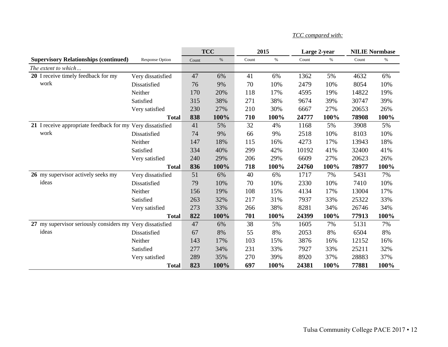|                                                            |                        |       | <b>TCC</b> | 2015  |      | Large 2-year |      | <b>NILIE Normbase</b> |      |
|------------------------------------------------------------|------------------------|-------|------------|-------|------|--------------|------|-----------------------|------|
| <b>Supervisory Relationships (continued)</b>               | <b>Response Option</b> | Count | $\%$       | Count | $\%$ | Count        | $\%$ | Count                 | $\%$ |
| The extent to which                                        |                        |       |            |       |      |              |      |                       |      |
| 20 I receive timely feedback for my                        | Very dissatisfied      | 47    | 6%         | 41    | 6%   | 1362         | 5%   | 4632                  | 6%   |
| work                                                       | Dissatisfied           | 76    | 9%         | 70    | 10%  | 2479         | 10%  | 8054                  | 10%  |
|                                                            | Neither                | 170   | 20%        | 118   | 17%  | 4595         | 19%  | 14822                 | 19%  |
|                                                            | Satisfied              | 315   | 38%        | 271   | 38%  | 9674         | 39%  | 30747                 | 39%  |
|                                                            | Very satisfied         | 230   | 27%        | 210   | 30%  | 6667         | 27%  | 20653                 | 26%  |
|                                                            | <b>Total</b>           | 838   | 100%       | 710   | 100% | 24777        | 100% | 78908                 | 100% |
| 21 I receive appropriate feedback for my Very dissatisfied |                        | 41    | 5%         | 32    | 4%   | 1168         | 5%   | 3908                  | 5%   |
| work                                                       | Dissatisfied           | 74    | 9%         | 66    | 9%   | 2518         | 10%  | 8103                  | 10%  |
|                                                            | Neither                | 147   | 18%        | 115   | 16%  | 4273         | 17%  | 13943                 | 18%  |
|                                                            | Satisfied              | 334   | 40%        | 299   | 42%  | 10192        | 41%  | 32400                 | 41%  |
|                                                            | Very satisfied         | 240   | 29%        | 206   | 29%  | 6609         | 27%  | 20623                 | 26%  |
|                                                            | <b>Total</b>           | 836   | 100%       | 718   | 100% | 24760        | 100% | 78977                 | 100% |
| 26 my supervisor actively seeks my                         | Very dissatisfied      | 51    | 6%         | 40    | 6%   | 1717         | 7%   | 5431                  | 7%   |
| ideas                                                      | Dissatisfied           | 79    | 10%        | 70    | 10%  | 2330         | 10%  | 7410                  | 10%  |
|                                                            | Neither                | 156   | 19%        | 108   | 15%  | 4134         | 17%  | 13004                 | 17%  |
|                                                            | Satisfied              | 263   | 32%        | 217   | 31%  | 7937         | 33%  | 25322                 | 33%  |
|                                                            | Very satisfied         | 273   | 33%        | 266   | 38%  | 8281         | 34%  | 26746                 | 34%  |
|                                                            | <b>Total</b>           | 822   | 100%       | 701   | 100% | 24399        | 100% | 77913                 | 100% |
| 27 my supervisor seriously considers my Very dissatisfied  |                        | 47    | 6%         | 38    | 5%   | 1605         | 7%   | 5131                  | 7%   |
| ideas                                                      | Dissatisfied           | 67    | 8%         | 55    | 8%   | 2053         | 8%   | 6504                  | 8%   |
|                                                            | Neither                | 143   | 17%        | 103   | 15%  | 3876         | 16%  | 12152                 | 16%  |
|                                                            | Satisfied              | 277   | 34%        | 231   | 33%  | 7927         | 33%  | 25211                 | 32%  |
|                                                            | Very satisfied         | 289   | 35%        | 270   | 39%  | 8920         | 37%  | 28883                 | 37%  |
|                                                            | <b>Total</b>           | 823   | 100%       | 697   | 100% | 24381        | 100% | 77881                 | 100% |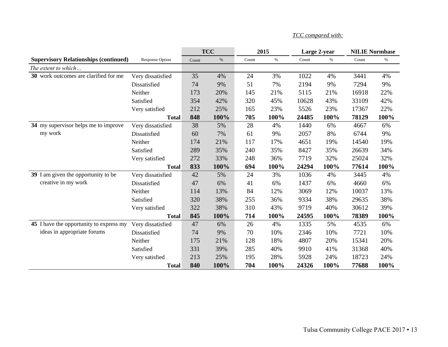|                                              |                   |       | <b>TCC</b> |       | 2015 | Large 2-year |      | <b>NILIE Normbase</b> |      |
|----------------------------------------------|-------------------|-------|------------|-------|------|--------------|------|-----------------------|------|
| <b>Supervisory Relationships (continued)</b> | Response Option   | Count | $\%$       | Count | $\%$ | Count        | $\%$ | Count                 | $\%$ |
| The extent to which                          |                   |       |            |       |      |              |      |                       |      |
| 30 work outcomes are clarified for me        | Very dissatisfied | 35    | 4%         | 24    | 3%   | 1022         | 4%   | 3441                  | 4%   |
|                                              | Dissatisfied      | 74    | 9%         | 51    | 7%   | 2194         | 9%   | 7294                  | 9%   |
|                                              | Neither           | 173   | 20%        | 145   | 21%  | 5115         | 21%  | 16918                 | 22%  |
|                                              | Satisfied         | 354   | 42%        | 320   | 45%  | 10628        | 43%  | 33109                 | 42%  |
|                                              | Very satisfied    | 212   | 25%        | 165   | 23%  | 5526         | 23%  | 17367                 | 22%  |
|                                              | <b>Total</b>      | 848   | 100%       | 705   | 100% | 24485        | 100% | 78129                 | 100% |
| 34 my supervisor helps me to improve         | Very dissatisfied | 38    | 5%         | 28    | 4%   | 1440         | 6%   | 4667                  | 6%   |
| my work                                      | Dissatisfied      | 60    | 7%         | 61    | 9%   | 2057         | 8%   | 6744                  | 9%   |
|                                              | Neither           | 174   | 21%        | 117   | 17%  | 4651         | 19%  | 14540                 | 19%  |
|                                              | Satisfied         | 289   | 35%        | 240   | 35%  | 8427         | 35%  | 26639                 | 34%  |
|                                              | Very satisfied    | 272   | 33%        | 248   | 36%  | 7719         | 32%  | 25024                 | 32%  |
|                                              | <b>Total</b>      | 833   | 100%       | 694   | 100% | 24294        | 100% | 77614                 | 100% |
| 39 I am given the opportunity to be          | Very dissatisfied | 42    | 5%         | 24    | 3%   | 1036         | 4%   | 3445                  | 4%   |
| creative in my work                          | Dissatisfied      | 47    | 6%         | 41    | 6%   | 1437         | 6%   | 4660                  | 6%   |
|                                              | Neither           | 114   | 13%        | 84    | 12%  | 3069         | 12%  | 10037                 | 13%  |
|                                              | Satisfied         | 320   | 38%        | 255   | 36%  | 9334         | 38%  | 29635                 | 38%  |
|                                              | Very satisfied    | 322   | 38%        | 310   | 43%  | 9719         | 40%  | 30612                 | 39%  |
|                                              | <b>Total</b>      | 845   | 100%       | 714   | 100% | 24595        | 100% | 78389                 | 100% |
| 45 I have the opportunity to express my      | Very dissatisfied | 47    | 6%         | 26    | 4%   | 1335         | 5%   | 4535                  | 6%   |
| ideas in appropriate forums                  | Dissatisfied      | 74    | 9%         | 70    | 10%  | 2346         | 10%  | 7721                  | 10%  |
|                                              | Neither           | 175   | 21%        | 128   | 18%  | 4807         | 20%  | 15341                 | 20%  |
|                                              | Satisfied         | 331   | 39%        | 285   | 40%  | 9910         | 41%  | 31368                 | 40%  |
|                                              | Very satisfied    | 213   | 25%        | 195   | 28%  | 5928         | 24%  | 18723                 | 24%  |
|                                              | <b>Total</b>      | 840   | 100%       | 704   | 100% | 24326        | 100% | 77688                 | 100% |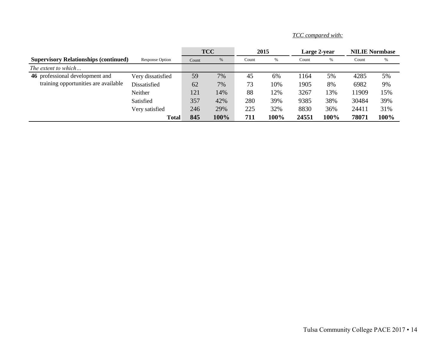|                                              |                   | <b>TCC</b> |      | 2015  |      | Large 2-year |      | <b>NILIE Normbase</b> |      |
|----------------------------------------------|-------------------|------------|------|-------|------|--------------|------|-----------------------|------|
| <b>Supervisory Relationships (continued)</b> | Response Option   | Count      | %    | Count | %    | Count        | $\%$ | Count                 | %    |
| The extent to which                          |                   |            |      |       |      |              |      |                       |      |
| 46 professional development and              | Very dissatisfied | 59         | 7%   | 45    | 6%   | 164          | 5%   | 4285                  | 5%   |
| training opportunities are available         | Dissatisfied      | 62         | 7%   | 73    | 10%  | 1905         | 8%   | 6982                  | 9%   |
|                                              | Neither           | 121        | 14%  | 88    | 12%  | 3267         | 13%  | 11909                 | 15%  |
|                                              | Satisfied         | 357        | 42%  | 280   | 39%  | 9385         | 38%  | 30484                 | 39%  |
|                                              | Very satisfied    | 246        | 29%  | 225   | 32%  | 8830         | 36%  | 24411                 | 31%  |
|                                              | <b>Total</b>      | 845        | 100% | 711   | 100% | 24551        | 100% | 78071                 | 100% |

*TCC compared with:*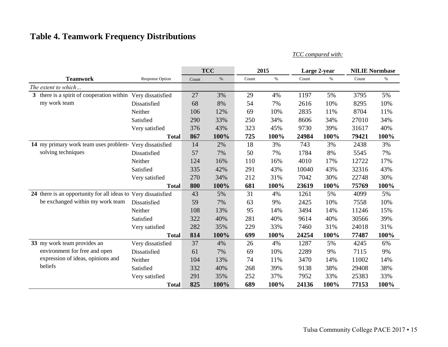# **Table 4. Teamwork Frequency Distributions**

|                                                         | <b>TCC</b><br>2015<br>Large 2-year |       |      | <b>NILIE Normbase</b> |      |       |      |                         |      |
|---------------------------------------------------------|------------------------------------|-------|------|-----------------------|------|-------|------|-------------------------|------|
| <b>Teamwork</b>                                         | <b>Response Option</b>             | Count | $\%$ | Count                 | $\%$ | Count | $\%$ | Count                   | $\%$ |
| The extent to which                                     |                                    |       |      |                       |      |       |      |                         |      |
| 3 there is a spirit of cooperation within               | Very dissatisfied                  | 27    | 3%   | 29                    | 4%   | 1197  | 5%   | 3795                    | 5%   |
| my work team                                            | Dissatisfied                       | 68    | 8%   | 54                    | 7%   | 2616  | 10%  | 8295                    | 10%  |
|                                                         | Neither                            | 106   | 12%  | 69                    | 10%  | 2835  | 11%  | 8704                    | 11%  |
|                                                         | Satisfied                          | 290   | 33%  | 250                   | 34%  | 8606  | 34%  | 27010                   | 34%  |
|                                                         | Very satisfied                     | 376   | 43%  | 323                   | 45%  | 9730  | 39%  | 31617                   | 40%  |
|                                                         | <b>Total</b>                       | 867   | 100% | 725                   | 100% | 24984 | 100% | 79421                   | 100% |
| 14 my primary work team uses problem- Very dissatisfied |                                    | 14    | 2%   | 18                    | 3%   | 743   | 3%   | 2438                    | 3%   |
| solving techniques                                      | Dissatisfied                       | 57    | 7%   | 50                    | 7%   | 1784  | 8%   | 5545                    | 7%   |
|                                                         | Neither                            | 124   | 16%  | 110                   | 16%  | 4010  | 17%  | 12722                   | 17%  |
|                                                         | Satisfied                          | 335   | 42%  | 291                   | 43%  | 10040 | 43%  | 32316                   | 43%  |
|                                                         | Very satisfied                     | 270   | 34%  | 212                   | 31%  | 7042  | 30%  | 22748                   | 30%  |
|                                                         | <b>Total</b>                       | 800   | 100% | 681                   | 100% | 23619 | 100% | 75769                   | 100% |
| 24 there is an opportunity for all ideas to             | Very dissatisfied                  | 43    | 5%   | 31                    | 4%   | 1261  | 5%   | 4099                    | 5%   |
| be exchanged within my work team                        | Dissatisfied                       | 59    | 7%   | 63                    | 9%   | 2425  | 10%  | 7558                    | 10%  |
|                                                         | Neither                            | 108   | 13%  | 95                    | 14%  | 3494  | 14%  | 11246                   | 15%  |
|                                                         | Satisfied                          | 322   | 40%  | 281                   | 40%  | 9614  | 40%  | 30566                   | 39%  |
|                                                         | Very satisfied                     | 282   | 35%  | 229                   | 33%  | 7460  | 31%  | 24018                   | 31%  |
|                                                         | <b>Total</b>                       | 814   | 100% | 699                   | 100% | 24254 | 100% | 77487                   | 100% |
| 33 my work team provides an                             | Very dissatisfied                  | 37    | 4%   | 26                    | 4%   | 1287  | 5%   | 4245                    | 6%   |
| environment for free and open                           | Dissatisfied                       | 61    | 7%   | 69                    | 10%  | 2289  | 9%   | 7115                    | 9%   |
| expression of ideas, opinions and                       | Neither                            | 104   | 13%  | 74                    | 11%  | 3470  | 14%  | 11002                   | 14%  |
| beliefs                                                 | Satisfied                          | 332   | 40%  | 268                   | 39%  | 9138  | 38%  | 29408<br>25383<br>77153 | 38%  |
|                                                         | Very satisfied                     | 291   | 35%  | 252                   | 37%  | 7952  | 33%  |                         | 33%  |
|                                                         | <b>Total</b>                       | 825   | 100% | 689                   | 100% | 24136 | 100% |                         | 100% |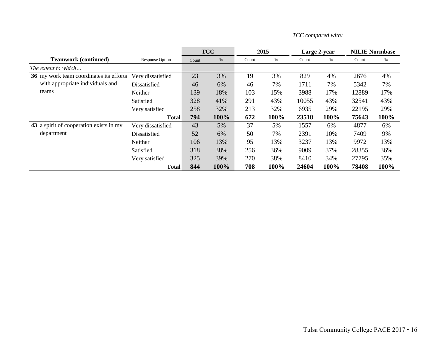|                                         |                        |       | <b>TCC</b> |       | 2015 |       | Large 2-year | <b>NILIE Normbase</b>                                    |      |
|-----------------------------------------|------------------------|-------|------------|-------|------|-------|--------------|----------------------------------------------------------|------|
| <b>Teamwork (continued)</b>             | <b>Response Option</b> | Count | %          | Count | %    | Count | %            | Count                                                    | %    |
| The extent to which                     |                        |       |            |       |      |       |              |                                                          |      |
| 36 my work team coordinates its efforts | Very dissatisfied      | 23    | 3%         | 19    | 3%   | 829   | 4%           | 2676                                                     | 4%   |
| with appropriate individuals and        | Dissatisfied           | 46    | 6%         | 46    | 7%   | 1711  | 7%           | 5342                                                     | 7%   |
| teams                                   | Neither                | 139   | 18%        | 103   | 15%  | 3988  | 17%          | 12889                                                    | 17%  |
|                                         | Satisfied              | 328   | 41%        | 291   | 43%  | 10055 | 43%          | 32541                                                    | 43%  |
|                                         | Very satisfied         | 258   | 32%        | 213   | 32%  | 6935  | 29%          | 22195                                                    | 29%  |
|                                         | <b>Total</b>           | 794   | 100%       | 672   | 100% | 23518 | 100%         | 75643<br>4877<br>7409<br>9972<br>28355<br>27795<br>78408 | 100% |
| 43 a spirit of cooperation exists in my | Very dissatisfied      | 43    | 5%         | 37    | 5%   | 1557  | 6%           |                                                          | 6%   |
| department                              | Dissatisfied           | 52    | 6%         | 50    | 7%   | 2391  | 10%          |                                                          | 9%   |
|                                         | Neither                | 106   | 13%        | 95    | 13%  | 3237  | 13%          |                                                          | 13%  |
|                                         | Satisfied              | 318   | 38%        | 256   | 36%  | 9009  | 37%          |                                                          | 36%  |
|                                         | Very satisfied         | 325   | 39%        | 270   | 38%  | 8410  | 34%          |                                                          | 35%  |
|                                         | <b>Total</b>           | 844   | 100%       | 708   | 100% | 24604 | 100%         |                                                          | 100% |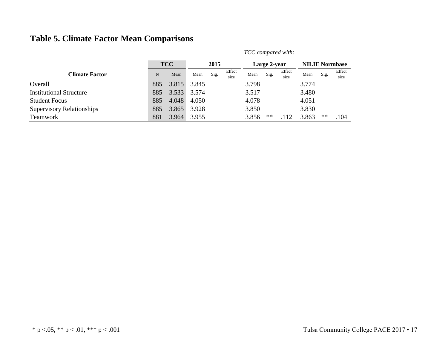## **Table 5. Climate Factor Mean Comparisons**

|                                  |     |            |       |      |                | TCC compared with: |              |                |                       |            |                |  |
|----------------------------------|-----|------------|-------|------|----------------|--------------------|--------------|----------------|-----------------------|------------|----------------|--|
|                                  |     | <b>TCC</b> | 2015  |      |                |                    | Large 2-year |                | <b>NILIE Normbase</b> |            |                |  |
| <b>Climate Factor</b>            | N   | Mean       | Mean  | Sig. | Effect<br>size | Mean               | Sig.         | Effect<br>size | Mean                  | Sig.       | Effect<br>size |  |
| Overall                          | 885 | 3.815      | 3.845 |      |                | 3.798              |              |                | 3.774                 |            |                |  |
| <b>Institutional Structure</b>   | 885 | 3.533      | 3.574 |      |                | 3.517              |              |                | 3.480                 |            |                |  |
| <b>Student Focus</b>             | 885 | 4.048      | 4.050 |      |                | 4.078              |              |                | 4.051                 |            |                |  |
| <b>Supervisory Relationships</b> | 885 | 3.865      | 3.928 |      |                | 3.850              |              |                | 3.830                 |            |                |  |
| <b>Teamwork</b>                  | 881 | 3.964      | 3.955 |      |                | 3.856              | $***$        | .112           | 3.863                 | $\ast\ast$ | .104           |  |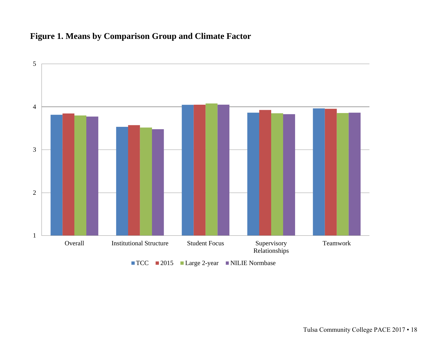## **Figure 1. Means by Comparison Group and Climate Factor**

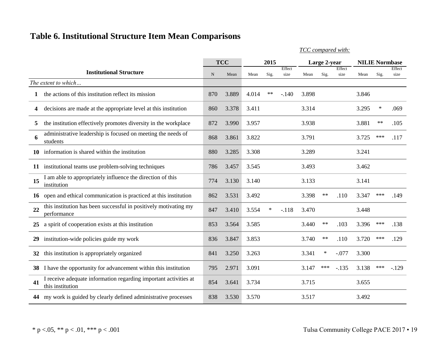## **Table 6. Institutional Structure Item Mean Comparisons**

|    |                                                                                      |             | <b>TCC</b> | 2015  |        |                |       | Large 2-year |                |       | <b>NILIE Normbase</b> |                |  |
|----|--------------------------------------------------------------------------------------|-------------|------------|-------|--------|----------------|-------|--------------|----------------|-------|-----------------------|----------------|--|
|    | <b>Institutional Structure</b>                                                       | $\mathbf N$ | Mean       | Mean  | Sig.   | Effect<br>size | Mean  | Sig.         | Effect<br>size | Mean  | Sig.                  | Effect<br>size |  |
|    | The extent to which                                                                  |             |            |       |        |                |       |              |                |       |                       |                |  |
| 1  | the actions of this institution reflect its mission                                  | 870         | 3.889      | 4.014 | $***$  | $-.140$        | 3.898 |              |                | 3.846 |                       |                |  |
| 4  | decisions are made at the appropriate level at this institution                      | 860         | 3.378      | 3.411 |        |                | 3.314 |              |                | 3.295 | ∗                     | .069           |  |
| 5  | the institution effectively promotes diversity in the workplace                      | 872         | 3.990      | 3.957 |        |                | 3.938 |              |                | 3.881 | $**$                  | .105           |  |
| 6  | administrative leadership is focused on meeting the needs of<br>students             | 868         | 3.861      | 3.822 |        |                | 3.791 |              |                | 3.725 | ***                   | .117           |  |
| 10 | information is shared within the institution                                         | 880         | 3.285      | 3.308 |        |                | 3.289 |              |                | 3.241 |                       |                |  |
| 11 | institutional teams use problem-solving techniques                                   | 786         | 3.457      | 3.545 |        |                | 3.493 |              |                | 3.462 |                       |                |  |
| 15 | I am able to appropriately influence the direction of this<br>institution            | 774         | 3.130      | 3.140 |        |                | 3.133 |              |                | 3.141 |                       |                |  |
| 16 | open and ethical communication is practiced at this institution                      | 862         | 3.531      | 3.492 |        |                | 3.398 | $***$        | .110           | 3.347 | ***                   | .149           |  |
| 22 | this institution has been successful in positively motivating my<br>performance      | 847         | 3.410      | 3.554 | $\ast$ | $-.118$        | 3.470 |              |                | 3.448 |                       |                |  |
| 25 | a spirit of cooperation exists at this institution                                   | 853         | 3.564      | 3.585 |        |                | 3.440 | $***$        | .103           | 3.396 | ***                   | .138           |  |
| 29 | institution-wide policies guide my work                                              | 836         | 3.847      | 3.853 |        |                | 3.740 | $***$        | .110           | 3.720 | ***                   | .129           |  |
| 32 | this institution is appropriately organized                                          | 841         | 3.250      | 3.263 |        |                | 3.341 | $\ast$       | $-.077$        | 3.300 |                       |                |  |
| 38 | I have the opportunity for advancement within this institution                       | 795         | 2.971      | 3.091 |        |                | 3.147 | ***          | $-.135$        | 3.138 | ***                   | $-129$         |  |
| 41 | I receive adequate information regarding important activities at<br>this institution | 854         | 3.641      | 3.734 |        |                | 3.715 |              |                | 3.655 |                       |                |  |
| 44 | my work is guided by clearly defined administrative processes                        | 838         | 3.530      | 3.570 |        |                | 3.517 |              |                | 3.492 |                       |                |  |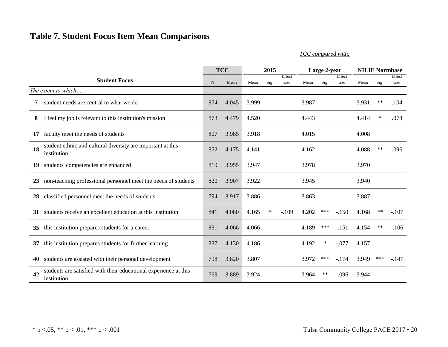## **Table 7. Student Focus Item Mean Comparisons**

|    |                                                                                 | <b>TCC</b>  |       | 2015  |        |         | Large 2-year |       |         | <b>NILIE Normbase</b> |       |         |
|----|---------------------------------------------------------------------------------|-------------|-------|-------|--------|---------|--------------|-------|---------|-----------------------|-------|---------|
|    | <b>Student Focus</b>                                                            |             |       |       |        | Effect  |              |       | Effect  |                       |       | Effect  |
|    |                                                                                 | $\mathbf N$ | Mean  | Mean  | Sig.   | size    | Mean         | Sig.  | size    | Mean                  | Sig.  | size    |
|    | The extent to which                                                             |             |       |       |        |         |              |       |         |                       |       |         |
| 7  | student needs are central to what we do                                         | 874         | 4.045 | 3.999 |        |         | 3.987        |       |         | 3.931                 | $***$ | .104    |
| 8  | I feel my job is relevant to this institution's mission                         | 873         | 4.479 | 4.520 |        |         | 4.443        |       |         | 4.414                 | ∗     | .078    |
| 17 | faculty meet the needs of students                                              | 807         | 3.985 | 3.918 |        |         | 4.015        |       |         | 4.008                 |       |         |
| 18 | student ethnic and cultural diversity are important at this<br>institution      | 852         | 4.175 | 4.141 |        |         | 4.162        |       |         | 4.088                 | $***$ | .096    |
| 19 | students' competencies are enhanced                                             | 819         | 3.955 | 3.947 |        |         | 3.978        |       |         | 3.970                 |       |         |
| 23 | non-teaching professional personnel meet the needs of students                  | 820         | 3.907 | 3.922 |        |         | 3.945        |       |         | 3.940                 |       |         |
| 28 | classified personnel meet the needs of students                                 | 794         | 3.917 | 3.886 |        |         | 3.863        |       |         | 3.887                 |       |         |
| 31 | students receive an excellent education at this institution                     | 841         | 4.080 | 4.165 | $\ast$ | $-.109$ | 4.202        | ***   | $-150$  | 4.168                 | $**$  | $-.107$ |
| 35 | this institution prepares students for a career                                 | 831         | 4.066 | 4.066 |        |         | 4.189        | $***$ | $-.151$ | 4.154                 | $***$ | $-.106$ |
| 37 | this institution prepares students for further learning                         | 837         | 4.130 | 4.186 |        |         | 4.192        | ∗     | $-.077$ | 4.157                 |       |         |
| 40 | students are assisted with their personal development                           | 798         | 3.820 | 3.807 |        |         | 3.972        | ***   | $-174$  | 3.949                 | ***   | $-147$  |
| 42 | students are satisfied with their educational experience at this<br>institution | 769         | 3.889 | 3.924 |        |         | 3.964        | $***$ | $-.096$ | 3.944                 |       |         |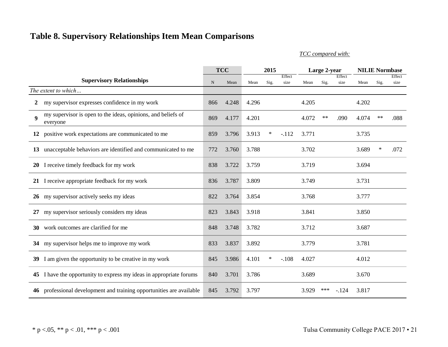## **Table 8. Supervisory Relationships Item Mean Comparisons**

|                  |                                                                          | <b>TCC</b>  |       | 2015  |        |                | Large 2-year |            |                | <b>NILIE Normbase</b> |        |                |
|------------------|--------------------------------------------------------------------------|-------------|-------|-------|--------|----------------|--------------|------------|----------------|-----------------------|--------|----------------|
|                  | <b>Supervisory Relationships</b>                                         | $\mathbf N$ | Mean  | Mean  | Sig.   | Effect<br>size | Mean         | Sig.       | Effect<br>size | Mean                  | Sig.   | Effect<br>size |
|                  | The extent to which                                                      |             |       |       |        |                |              |            |                |                       |        |                |
|                  |                                                                          |             |       |       |        |                |              |            |                |                       |        |                |
| 2                | my supervisor expresses confidence in my work                            | 866         | 4.248 | 4.296 |        |                | 4.205        |            |                | 4.202                 |        |                |
| $\boldsymbol{9}$ | my supervisor is open to the ideas, opinions, and beliefs of<br>everyone | 869         | 4.177 | 4.201 |        |                | 4.072        | $\ast\ast$ | .090           | 4.074                 | $***$  | .088           |
|                  | 12 positive work expectations are communicated to me                     | 859         | 3.796 | 3.913 | $\ast$ | $-.112$        | 3.771        |            |                | 3.735                 |        |                |
| 13               | unacceptable behaviors are identified and communicated to me             | 772         | 3.760 | 3.788 |        |                | 3.702        |            |                | 3.689                 | $\ast$ | .072           |
|                  | 20 I receive timely feedback for my work                                 | 838         | 3.722 | 3.759 |        |                | 3.719        |            |                | 3.694                 |        |                |
|                  | 21 I receive appropriate feedback for my work                            | 836         | 3.787 | 3.809 |        |                | 3.749        |            |                | 3.731                 |        |                |
|                  | 26 my supervisor actively seeks my ideas                                 | 822         | 3.764 | 3.854 |        |                | 3.768        |            |                | 3.777                 |        |                |
| 27               | my supervisor seriously considers my ideas                               | 823         | 3.843 | 3.918 |        |                | 3.841        |            |                | 3.850                 |        |                |
| 30               | work outcomes are clarified for me                                       | 848         | 3.748 | 3.782 |        |                | 3.712        |            |                | 3.687                 |        |                |
| 34               | my supervisor helps me to improve my work                                | 833         | 3.837 | 3.892 |        |                | 3.779        |            |                | 3.781                 |        |                |
|                  | 39 I am given the opportunity to be creative in my work                  | 845         | 3.986 | 4.101 | ∗      | $-.108$        | 4.027        |            |                | 4.012                 |        |                |
|                  | 45 I have the opportunity to express my ideas in appropriate forums      | 840         | 3.701 | 3.786 |        |                | 3.689        |            |                | 3.670                 |        |                |
|                  | 46 professional development and training opportunities are available     | 845         | 3.792 | 3.797 |        |                | 3.929        | ***        | $-124$         | 3.817                 |        |                |